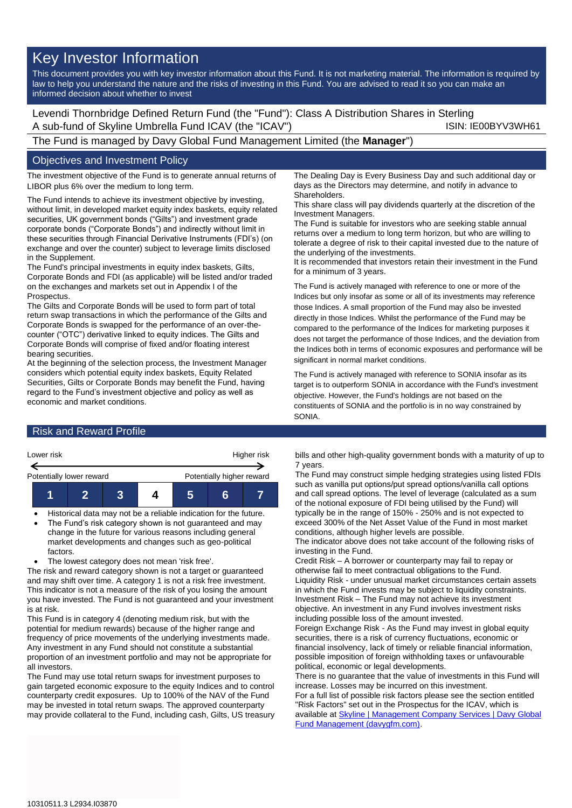# Key Investor Information

This document provides you with key investor information about this Fund. It is not marketing material. The information is required by law to help you understand the nature and the risks of investing in this Fund. You are advised to read it so you can make an informed decision about whether to invest

Levendi Thornbridge Defined Return Fund (the "Fund"): Class A Distribution Shares in Sterling A sub-fund of Skyline Umbrella Fund ICAV (the "ICAV") ISIN: IE00BYV3WH61

The Fund is managed by Davy Global Fund Management Limited (the **Manager**")

## Objectives and Investment Policy

The investment objective of the Fund is to generate annual returns of LIBOR plus 6% over the medium to long term.

The Fund intends to achieve its investment objective by investing, without limit, in developed market equity index baskets, equity related securities, UK government bonds ("Gilts") and investment grade corporate bonds ("Corporate Bonds") and indirectly without limit in these securities through Financial Derivative Instruments (FDI's) (on exchange and over the counter) subject to leverage limits disclosed in the Supplement.

The Fund's principal investments in equity index baskets, Gilts, Corporate Bonds and FDI (as applicable) will be listed and/or traded on the exchanges and markets set out in Appendix I of the Prospectus.

The Gilts and Corporate Bonds will be used to form part of total return swap transactions in which the performance of the Gilts and Corporate Bonds is swapped for the performance of an over-thecounter ("OTC") derivative linked to equity indices. The Gilts and Corporate Bonds will comprise of fixed and/or floating interest bearing securities.

At the beginning of the selection process, the Investment Manager considers which potential equity index baskets, Equity Related Securities, Gilts or Corporate Bonds may benefit the Fund, having regard to the Fund's investment objective and policy as well as economic and market conditions.

## **Risk and Reward Profile**



- Historical data may not be a reliable indication for the future.
- The Fund's risk category shown is not guaranteed and may change in the future for various reasons including general market developments and changes such as geo-political factors.
- The lowest category does not mean 'risk free'.

The risk and reward category shown is not a target or guaranteed and may shift over time. A category 1 is not a risk free investment. This indicator is not a measure of the risk of you losing the amount you have invested. The Fund is not guaranteed and your investment is at risk.

This Fund is in category 4 (denoting medium risk, but with the potential for medium rewards) because of the higher range and frequency of price movements of the underlying investments made. Any investment in any Fund should not constitute a substantial proportion of an investment portfolio and may not be appropriate for all investors.

The Fund may use total return swaps for investment purposes to gain targeted economic exposure to the equity Indices and to control counterparty credit exposures. Up to 100% of the NAV of the Fund may be invested in total return swaps. The approved counterparty may provide collateral to the Fund, including cash, Gilts, US treasury The Dealing Day is Every Business Day and such additional day or days as the Directors may determine, and notify in advance to **Shareholders** 

This share class will pay dividends quarterly at the discretion of the Investment Managers.

The Fund is suitable for investors who are seeking stable annual returns over a medium to long term horizon, but who are willing to tolerate a degree of risk to their capital invested due to the nature of the underlying of the investments.

It is recommended that investors retain their investment in the Fund for a minimum of 3 years.

The Fund is actively managed with reference to one or more of the Indices but only insofar as some or all of its investments may reference those Indices. A small proportion of the Fund may also be invested directly in those Indices. Whilst the performance of the Fund may be compared to the performance of the Indices for marketing purposes it does not target the performance of those Indices, and the deviation from the Indices both in terms of economic exposures and performance will be significant in normal market conditions.

The Fund is actively managed with reference to SONIA insofar as its target is to outperform SONIA in accordance with the Fund's investment objective. However, the Fund's holdings are not based on the constituents of SONIA and the portfolio is in no way constrained by SONIA.

bills and other high-quality government bonds with a maturity of up to 7 years.

The Fund may construct simple hedging strategies using listed FDIs such as vanilla put options/put spread options/vanilla call options and call spread options. The level of leverage (calculated as a sum of the notional exposure of FDI being utilised by the Fund) will typically be in the range of 150% - 250% and is not expected to exceed 300% of the Net Asset Value of the Fund in most market conditions, although higher levels are possible.

The indicator above does not take account of the following risks of investing in the Fund.

Credit Risk – A borrower or counterparty may fail to repay or otherwise fail to meet contractual obligations to the Fund. Liquidity Risk - under unusual market circumstances certain assets in which the Fund invests may be subject to liquidity constraints. Investment Risk – The Fund may not achieve its investment objective. An investment in any Fund involves investment risks including possible loss of the amount invested.

Foreign Exchange Risk - As the Fund may invest in global equity securities, there is a risk of currency fluctuations, economic or financial insolvency, lack of timely or reliable financial information, possible imposition of foreign withholding taxes or unfavourable political, economic or legal developments.

There is no guarantee that the value of investments in this Fund will increase. Losses may be incurred on this investment. For a full list of possible risk factors please see the section entitled

"Risk Factors" set out in the Prospectus for the ICAV, which is available a[t Skyline | Management Company Services | Davy Global](https://www.davygfm.com/funds-factsheets/management-company-services/ireland/skyline.html)  [Fund Management \(davygfm.com\).](https://www.davygfm.com/funds-factsheets/management-company-services/ireland/skyline.html)